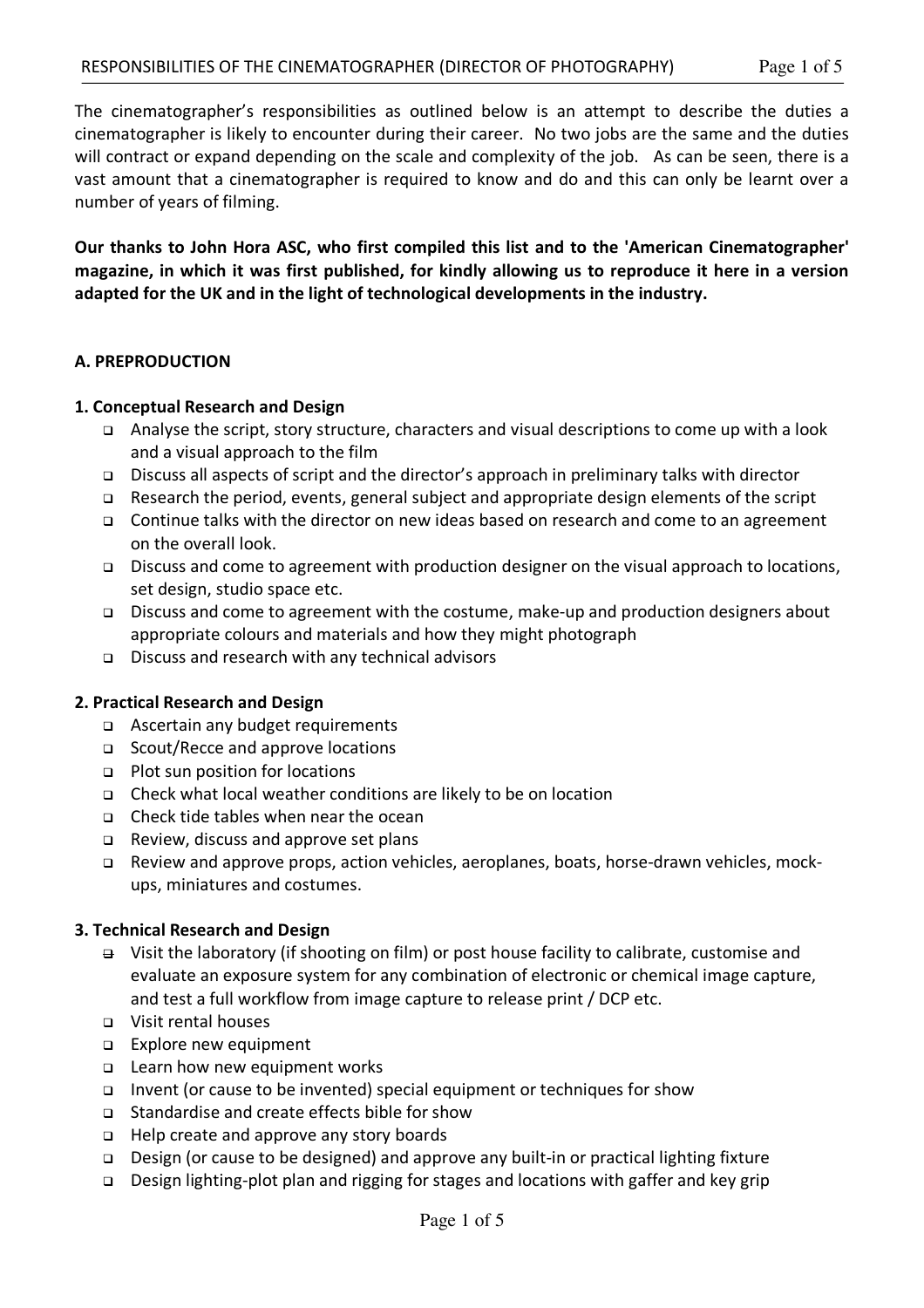The cinematographer's responsibilities as outlined below is an attempt to describe the duties a cinematographer is likely to encounter during their career. No two jobs are the same and the duties will contract or expand depending on the scale and complexity of the job. As can be seen, there is a vast amount that a cinematographer is required to know and do and this can only be learnt over a number of years of filming.

**Our thanks to John Hora ASC, who first compiled this list and to the 'American Cinematographer' magazine, in which it was first published, for kindly allowing us to reproduce it here in a version adapted for the UK and in the light of technological developments in the industry.**

#### **A. PREPRODUCTION**

#### **1. Conceptual Research and Design**

- <sup>q</sup> Analyse the script, story structure, characters and visual descriptions to come up with a look and a visual approach to the film
- <sup>q</sup> Discuss all aspects of script and the director's approach in preliminary talks with director
- <sup>q</sup> Research the period, events, general subject and appropriate design elements of the script
- <sup>q</sup> Continue talks with the director on new ideas based on research and come to an agreement on the overall look.
- <sup>q</sup> Discuss and come to agreement with production designer on the visual approach to locations, set design, studio space etc.
- <sup>q</sup> Discuss and come to agreement with the costume, make-up and production designers about appropriate colours and materials and how they might photograph
- <sup>q</sup> Discuss and research with any technical advisors

## **2. Practical Research and Design**

- □ Ascertain any budget requirements
- <sup>q</sup> Scout/Recce and approve locations
- <sup>q</sup> Plot sun position for locations
- <sup>q</sup> Check what local weather conditions are likely to be on location
- <sup>q</sup> Check tide tables when near the ocean
- □ Review, discuss and approve set plans
- <sup>q</sup> Review and approve props, action vehicles, aeroplanes, boats, horse-drawn vehicles, mockups, miniatures and costumes.

## **3. Technical Research and Design**

- $\rightarrow$  Visit the laboratory (if shooting on film) or post house facility to calibrate, customise and evaluate an exposure system for any combination of electronic or chemical image capture, and test a full workflow from image capture to release print / DCP etc.
- <sup>q</sup> Visit rental houses
- <sup>q</sup> Explore new equipment
- □ Learn how new equipment works
- <sup>q</sup> Invent (or cause to be invented) special equipment or techniques for show
- <sup>q</sup> Standardise and create effects bible for show
- <sup>q</sup> Help create and approve any story boards
- <sup>q</sup> Design (or cause to be designed) and approve any built-in or practical lighting fixture
- <sup>q</sup> Design lighting-plot plan and rigging for stages and locations with gaffer and key grip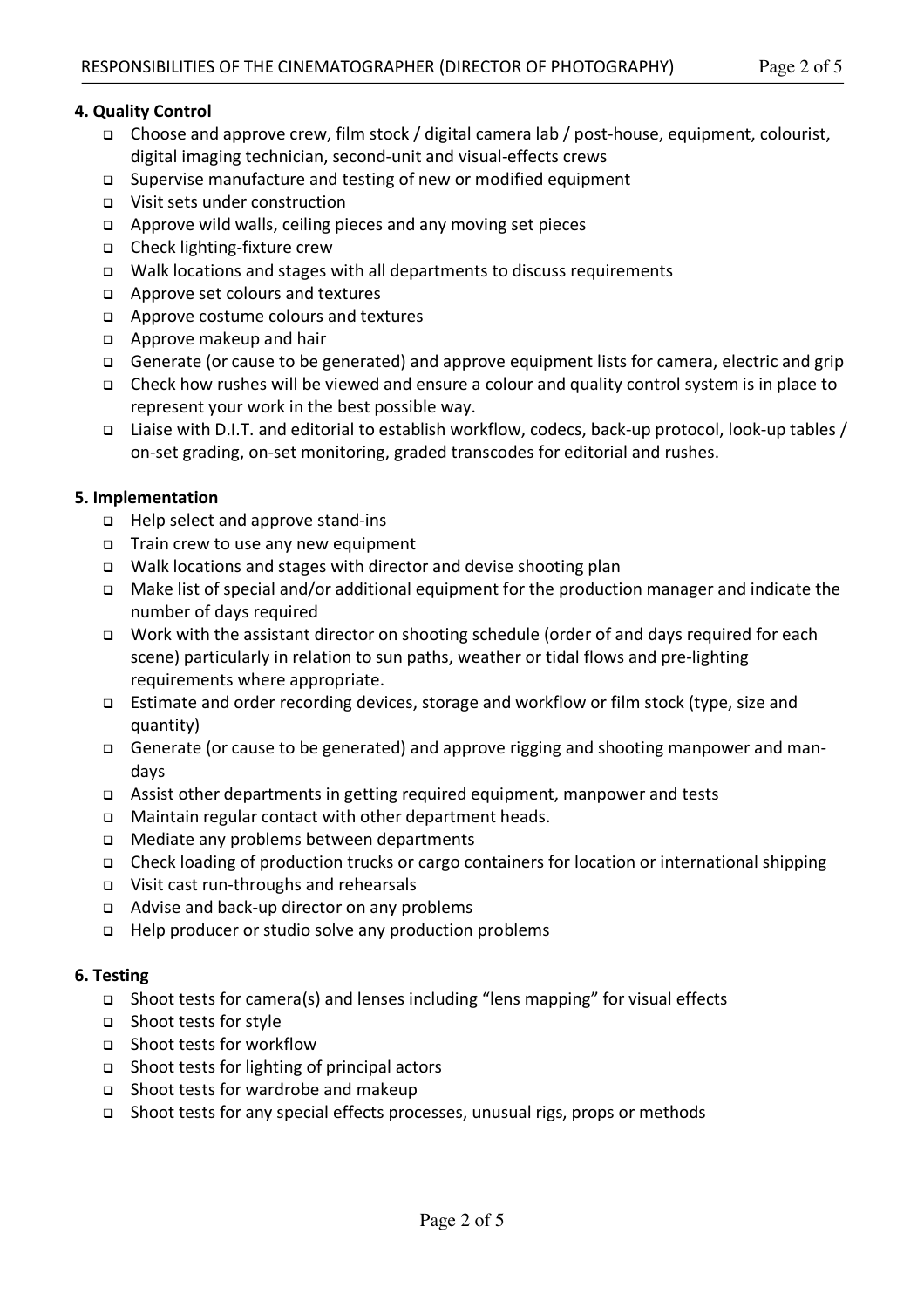- <sup>q</sup> Supervise manufacture and testing of new or modified equipment
- <sup>q</sup> Visit sets under construction
- <sup>q</sup> Approve wild walls, ceiling pieces and any moving set pieces
- <sup>q</sup> Check lighting-fixture crew
- <sup>q</sup> Walk locations and stages with all departments to discuss requirements
- <sup>q</sup> Approve set colours and textures
- <sup>q</sup> Approve costume colours and textures
- <sup>q</sup> Approve makeup and hair
- <sup>q</sup> Generate (or cause to be generated) and approve equipment lists for camera, electric and grip
- <sup>q</sup> Check how rushes will be viewed and ensure a colour and quality control system is in place to represent your work in the best possible way.
- <sup>q</sup> Liaise with D.I.T. and editorial to establish workflow, codecs, back-up protocol, look-up tables / on-set grading, on-set monitoring, graded transcodes for editorial and rushes.

# **5. Implementation**

- <sup>q</sup> Help select and approve stand-ins
- <sup>q</sup> Train crew to use any new equipment
- <sup>q</sup> Walk locations and stages with director and devise shooting plan
- <sup>q</sup> Make list of special and/or additional equipment for the production manager and indicate the number of days required
- <sup>q</sup> Work with the assistant director on shooting schedule (order of and days required for each scene) particularly in relation to sun paths, weather or tidal flows and pre-lighting requirements where appropriate.
- <sup>q</sup> Estimate and order recording devices, storage and workflow or film stock (type, size and quantity)
- <sup>q</sup> Generate (or cause to be generated) and approve rigging and shooting manpower and mandays
- <sup>q</sup> Assist other departments in getting required equipment, manpower and tests
- <sup>q</sup> Maintain regular contact with other department heads.
- <sup>q</sup> Mediate any problems between departments
- <sup>q</sup> Check loading of production trucks or cargo containers for location or international shipping
- <sup>q</sup> Visit cast run-throughs and rehearsals
- <sup>q</sup> Advise and back-up director on any problems
- <sup>q</sup> Help producer or studio solve any production problems

## **6. Testing**

- <sup>q</sup> Shoot tests for camera(s) and lenses including "lens mapping" for visual effects
- <sup>q</sup> Shoot tests for style
- <sup>q</sup> Shoot tests for workflow
- <sup>q</sup> Shoot tests for lighting of principal actors
- <sup>q</sup> Shoot tests for wardrobe and makeup
- <sup>q</sup> Shoot tests for any special effects processes, unusual rigs, props or methods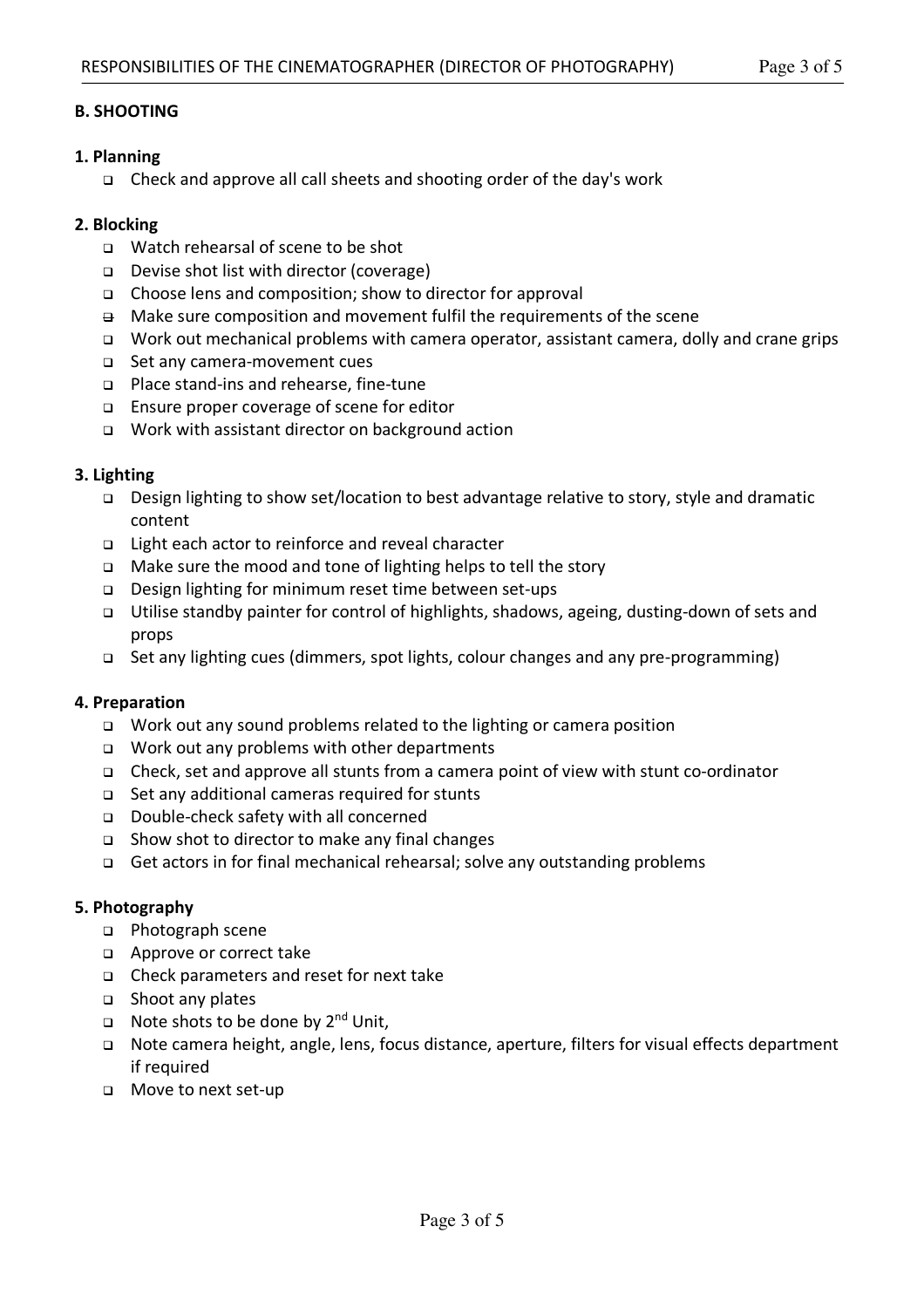# **B. SHOOTING**

# **1. Planning**

<sup>q</sup> Check and approve all call sheets and shooting order of the day's work

# **2. Blocking**

- <sup>q</sup> Watch rehearsal of scene to be shot
- <sup>q</sup> Devise shot list with director (coverage)
- <sup>q</sup> Choose lens and composition; show to director for approval
- $\Theta$  Make sure composition and movement fulfil the requirements of the scene
- <sup>q</sup> Work out mechanical problems with camera operator, assistant camera, dolly and crane grips
- <sup>q</sup> Set any camera-movement cues
- <sup>q</sup> Place stand-ins and rehearse, fine-tune
- <sup>q</sup> Ensure proper coverage of scene for editor
- <sup>q</sup> Work with assistant director on background action

# **3. Lighting**

- <sup>q</sup> Design lighting to show set/location to best advantage relative to story, style and dramatic content
- <sup>q</sup> Light each actor to reinforce and reveal character
- <sup>q</sup> Make sure the mood and tone of lighting helps to tell the story
- <sup>q</sup> Design lighting for minimum reset time between set-ups
- <sup>q</sup> Utilise standby painter for control of highlights, shadows, ageing, dusting-down of sets and props
- <sup>q</sup> Set any lighting cues (dimmers, spot lights, colour changes and any pre-programming)

## **4. Preparation**

- <sup>q</sup> Work out any sound problems related to the lighting or camera position
- <sup>q</sup> Work out any problems with other departments
- <sup>q</sup> Check, set and approve all stunts from a camera point of view with stunt co-ordinator
- <sup>q</sup> Set any additional cameras required for stunts
- <sup>q</sup> Double-check safety with all concerned
- <sup>q</sup> Show shot to director to make any final changes
- <sup>q</sup> Get actors in for final mechanical rehearsal; solve any outstanding problems

## **5. Photography**

- <sup>q</sup> Photograph scene
- <sup>q</sup> Approve or correct take
- <sup>q</sup> Check parameters and reset for next take
- <sup>q</sup> Shoot any plates
- **Q** Note shots to be done by  $2^{nd}$  Unit,
- <sup>q</sup> Note camera height, angle, lens, focus distance, aperture, filters for visual effects department if required
- <sup>q</sup> Move to next set-up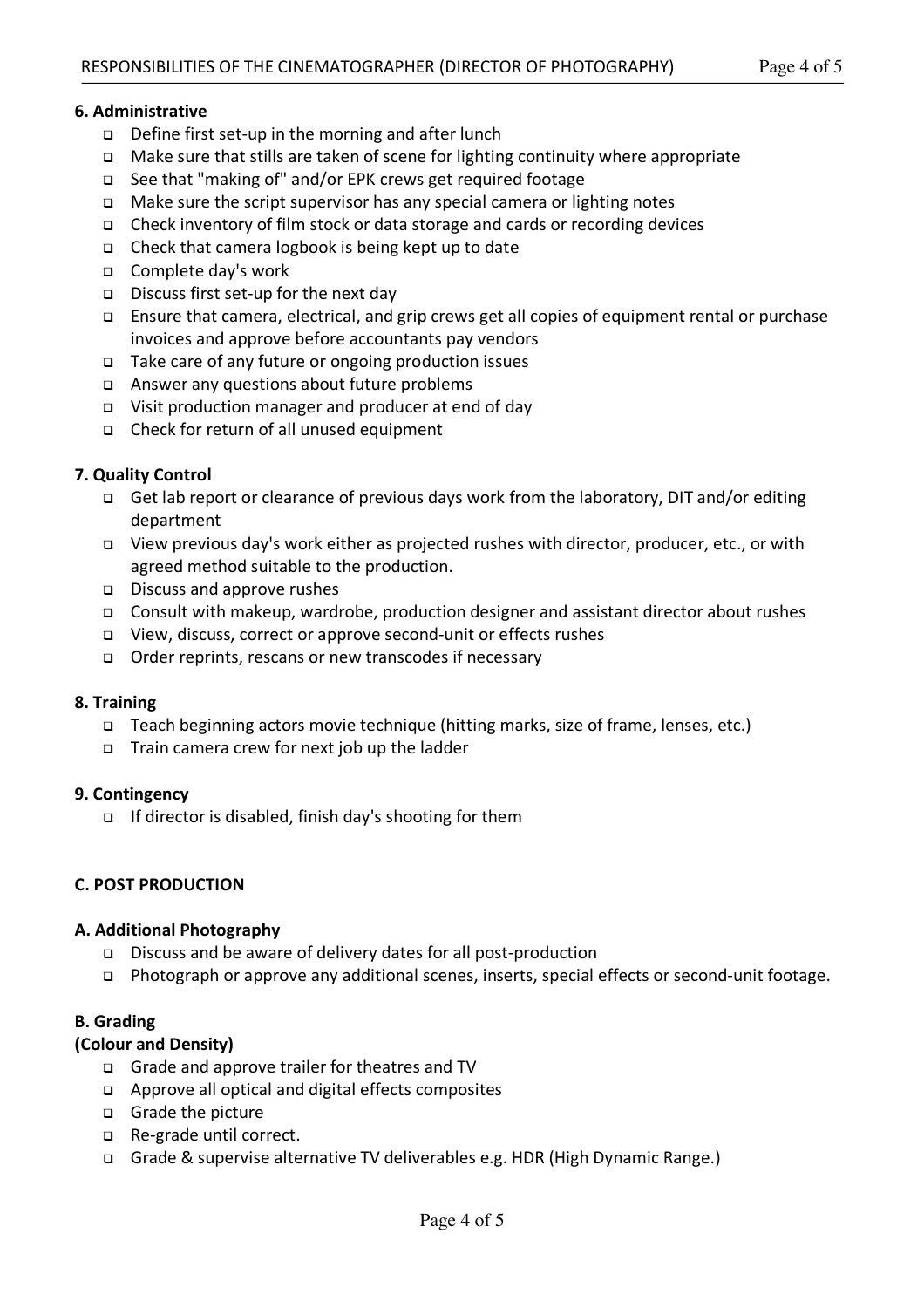## **6. Administrative**

- <sup>q</sup> Define first set-up in the morning and after lunch
- <sup>q</sup> Make sure that stills are taken of scene for lighting continuity where appropriate
- <sup>q</sup> See that "making of" and/or EPK crews get required footage
- <sup>q</sup> Make sure the script supervisor has any special camera or lighting notes
- <sup>q</sup> Check inventory of film stock or data storage and cards or recording devices
- <sup>q</sup> Check that camera logbook is being kept up to date
- <sup>q</sup> Complete day's work
- <sup>q</sup> Discuss first set-up for the next day
- <sup>q</sup> Ensure that camera, electrical, and grip crews get all copies of equipment rental or purchase invoices and approve before accountants pay vendors
- <sup>q</sup> Take care of any future or ongoing production issues
- <sup>q</sup> Answer any questions about future problems
- <sup>q</sup> Visit production manager and producer at end of day
- <sup>q</sup> Check for return of all unused equipment

## **7. Quality Control**

- <sup>q</sup> Get lab report or clearance of previous days work from the laboratory, DIT and/or editing department
- <sup>q</sup> View previous day's work either as projected rushes with director, producer, etc., or with agreed method suitable to the production.
- <sup>q</sup> Discuss and approve rushes
- <sup>q</sup> Consult with makeup, wardrobe, production designer and assistant director about rushes
- <sup>q</sup> View, discuss, correct or approve second-unit or effects rushes
- <sup>q</sup> Order reprints, rescans or new transcodes if necessary

## **8. Training**

- <sup>q</sup> Teach beginning actors movie technique (hitting marks, size of frame, lenses, etc.)
- <sup>q</sup> Train camera crew for next job up the ladder

#### **9. Contingency**

<sup>q</sup> If director is disabled, finish day's shooting for them

#### **C. POST PRODUCTION**

#### **A. Additional Photography**

- <sup>q</sup> Discuss and be aware of delivery dates for all post-production
- <sup>q</sup> Photograph or approve any additional scenes, inserts, special effects or second-unit footage.

## **B. Grading**

## **(Colour and Density)**

- <sup>q</sup> Grade and approve trailer for theatres and TV
- <sup>q</sup> Approve all optical and digital effects composites
- <sup>q</sup> Grade the picture
- <sup>q</sup> Re-grade until correct.
- <sup>q</sup> Grade & supervise alternative TV deliverables e.g. HDR (High Dynamic Range.)